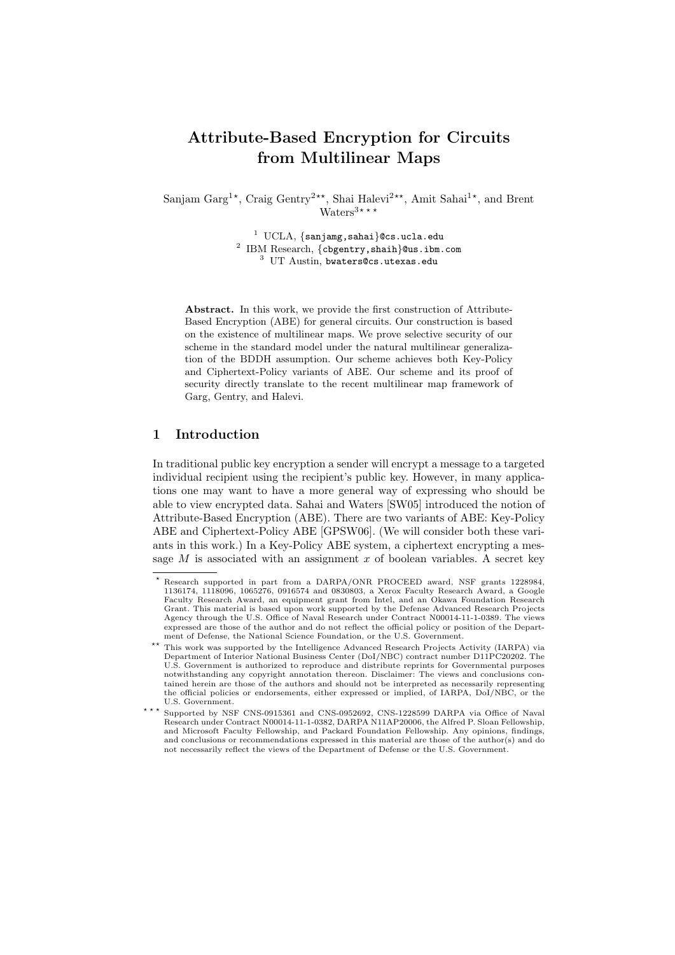# Attribute-Based Encryption for Circuits from Multilinear Maps

Sanjam Garg<sup>1\*</sup>, Craig Gentry<sup>2\*\*</sup>, Shai Halevi<sup>2\*\*</sup>, Amit Sahai<sup>1\*</sup>, and Brent  $\text{Waters}^{3***}$ 

> $1 \text{ UCLA}, \{\texttt{sanging}, \texttt{sahai}\}$ @cs.ucla.edu  $^{2}$  IBM Research, {cbgentry, shaih}@us.ibm.com <sup>3</sup> UT Austin, bwaters@cs.utexas.edu

Abstract. In this work, we provide the first construction of Attribute-Based Encryption (ABE) for general circuits. Our construction is based on the existence of multilinear maps. We prove selective security of our scheme in the standard model under the natural multilinear generalization of the BDDH assumption. Our scheme achieves both Key-Policy and Ciphertext-Policy variants of ABE. Our scheme and its proof of security directly translate to the recent multilinear map framework of Garg, Gentry, and Halevi.

# 1 Introduction

In traditional public key encryption a sender will encrypt a message to a targeted individual recipient using the recipient's public key. However, in many applications one may want to have a more general way of expressing who should be able to view encrypted data. Sahai and Waters [SW05] introduced the notion of Attribute-Based Encryption (ABE). There are two variants of ABE: Key-Policy ABE and Ciphertext-Policy ABE [GPSW06]. (We will consider both these variants in this work.) In a Key-Policy ABE system, a ciphertext encrypting a message  $M$  is associated with an assignment  $x$  of boolean variables. A secret key

<sup>?</sup> Research supported in part from a DARPA/ONR PROCEED award, NSF grants 1228984, 1136174, 1118096, 1065276, 0916574 and 0830803, a Xerox Faculty Research Award, a Google Faculty Research Award, an equipment grant from Intel, and an Okawa Foundation Research Grant. This material is based upon work supported by the Defense Advanced Research Projects Agency through the U.S. Office of Naval Research under Contract N00014-11-1-0389. The views expressed are those of the author and do not reflect the official policy or position of the Department of Defense, the National Science Foundation, or the U.S. Government.

<sup>&</sup>lt;sup>\*\*</sup> This work was supported by the Intelligence Advanced Research Projects Activity (IARPA) via<br>Anti-Clark (DeL<sup>(NDC)</sup> contract number D11PC20202. The Department of Interior National Business Center (DoI/NBC) contract number D11PC20202. The U.S. Government is authorized to reproduce and distribute reprints for Governmental purposes notwithstanding any copyright annotation thereon. Disclaimer: The views and conclusions contained herein are those of the authors and should not be interpreted as necessarily representing the official policies or endorsements, either expressed or implied, of IARPA, DoI/NBC, or the U.S. Government.

 $* * *$  Supported by NSF CNS-0915361 and CNS-0952692, CNS-1228599 DARPA via Office of Naval Research under Contract N00014-11-1-0382, DARPA N11AP20006, the Alfred P. Sloan Fellowship, and Microsoft Faculty Fellowship, and Packard Foundation Fellowship. Any opinions, findings, and conclusions or recommendations expressed in this material are those of the author(s) and do not necessarily reflect the views of the Department of Defense or the U.S. Government.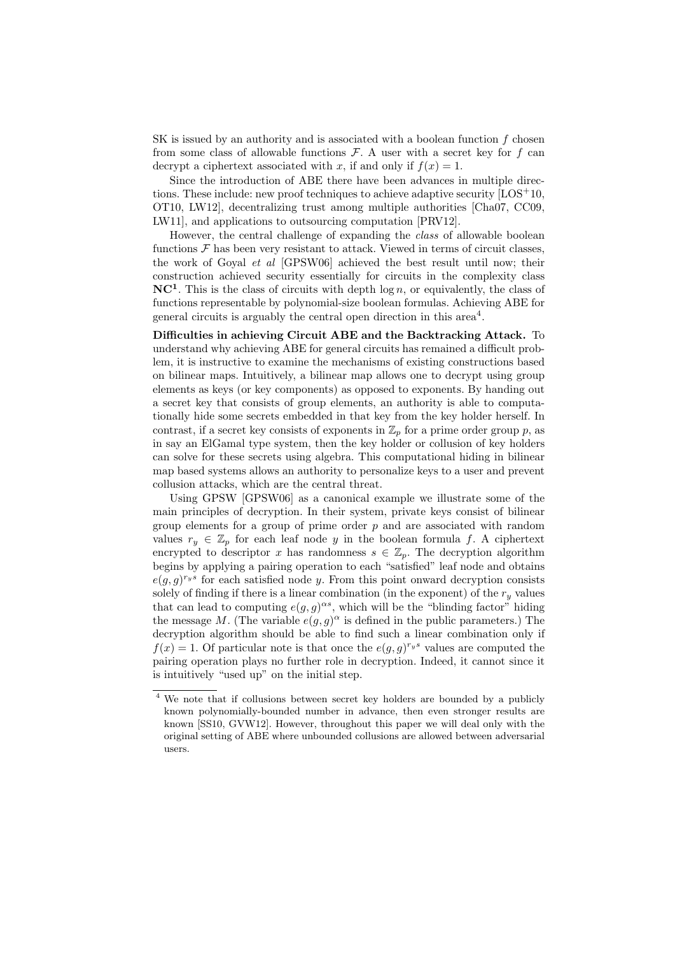$SK$  is issued by an authority and is associated with a boolean function  $f$  chosen from some class of allowable functions  $\mathcal{F}$ . A user with a secret key for f can decrypt a ciphertext associated with x, if and only if  $f(x) = 1$ .

Since the introduction of ABE there have been advances in multiple directions. These include: new proof techniques to achieve adaptive security  $[LOS<sup>+</sup>10$ , OT10, LW12], decentralizing trust among multiple authorities [Cha07, CC09, LW11], and applications to outsourcing computation [PRV12].

However, the central challenge of expanding the class of allowable boolean functions  $\mathcal F$  has been very resistant to attack. Viewed in terms of circuit classes, the work of Goyal et al [GPSW06] achieved the best result until now; their construction achieved security essentially for circuits in the complexity class  $NC<sup>1</sup>$ . This is the class of circuits with depth  $log n$ , or equivalently, the class of functions representable by polynomial-size boolean formulas. Achieving ABE for general circuits is arguably the central open direction in this area<sup>4</sup>.

Difficulties in achieving Circuit ABE and the Backtracking Attack. To understand why achieving ABE for general circuits has remained a difficult problem, it is instructive to examine the mechanisms of existing constructions based on bilinear maps. Intuitively, a bilinear map allows one to decrypt using group elements as keys (or key components) as opposed to exponents. By handing out a secret key that consists of group elements, an authority is able to computationally hide some secrets embedded in that key from the key holder herself. In contrast, if a secret key consists of exponents in  $\mathbb{Z}_p$  for a prime order group p, as in say an ElGamal type system, then the key holder or collusion of key holders can solve for these secrets using algebra. This computational hiding in bilinear map based systems allows an authority to personalize keys to a user and prevent collusion attacks, which are the central threat.

Using GPSW [GPSW06] as a canonical example we illustrate some of the main principles of decryption. In their system, private keys consist of bilinear group elements for a group of prime order  $p$  and are associated with random values  $r_y \in \mathbb{Z}_p$  for each leaf node y in the boolean formula f. A ciphertext encrypted to descriptor x has randomness  $s \in \mathbb{Z}_p$ . The decryption algorithm begins by applying a pairing operation to each "satisfied" leaf node and obtains  $e(g, g)^{r_y s}$  for each satisfied node y. From this point onward decryption consists solely of finding if there is a linear combination (in the exponent) of the  $r_y$  values that can lead to computing  $e(g, g)^{\alpha s}$ , which will be the "blinding factor" hiding the message M. (The variable  $e(g, g)^\alpha$  is defined in the public parameters.) The decryption algorithm should be able to find such a linear combination only if  $f(x) = 1$ . Of particular note is that once the  $e(g, g)^{r_y s}$  values are computed the pairing operation plays no further role in decryption. Indeed, it cannot since it is intuitively "used up" on the initial step.

<sup>4</sup> We note that if collusions between secret key holders are bounded by a publicly known polynomially-bounded number in advance, then even stronger results are known [SS10, GVW12]. However, throughout this paper we will deal only with the original setting of ABE where unbounded collusions are allowed between adversarial users.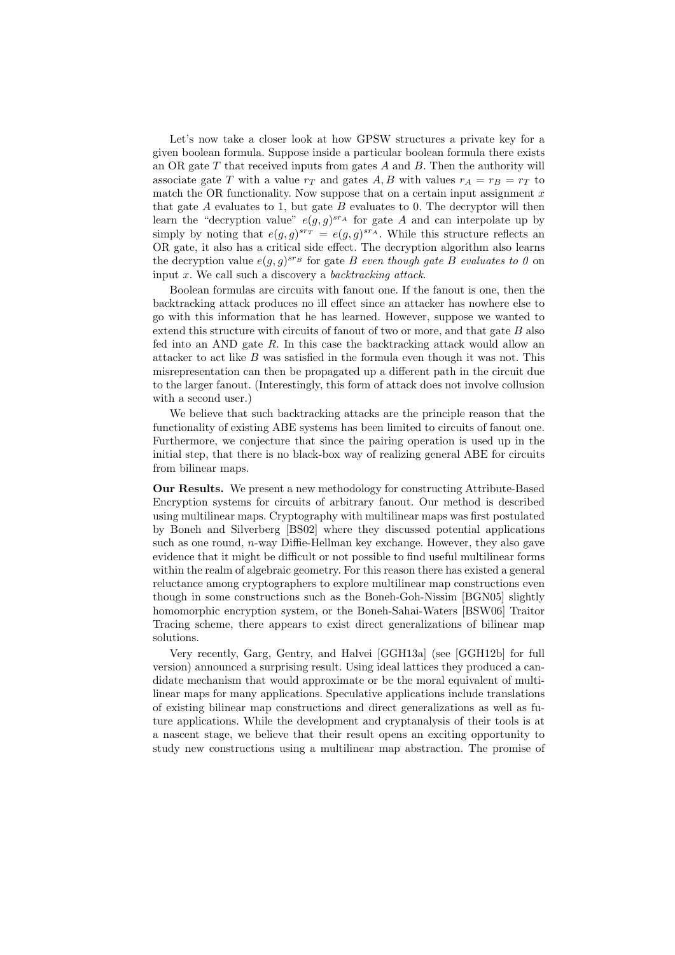Let's now take a closer look at how GPSW structures a private key for a given boolean formula. Suppose inside a particular boolean formula there exists an OR gate  $T$  that received inputs from gates  $A$  and  $B$ . Then the authority will associate gate T with a value  $r_T$  and gates A, B with values  $r_A = r_B = r_T$  to match the OR functionality. Now suppose that on a certain input assignment  $x$ that gate  $A$  evaluates to 1, but gate  $B$  evaluates to 0. The decryptor will then learn the "decryption value"  $e(g, g)^{s r_A}$  for gate A and can interpolate up by simply by noting that  $e(g,g)^{sr_T} = e(g,g)^{sr_A}$ . While this structure reflects an OR gate, it also has a critical side effect. The decryption algorithm also learns the decryption value  $e(g, g)^{s r_B}$  for gate B even though gate B evaluates to 0 on input  $x$ . We call such a discovery a backtracking attack.

Boolean formulas are circuits with fanout one. If the fanout is one, then the backtracking attack produces no ill effect since an attacker has nowhere else to go with this information that he has learned. However, suppose we wanted to extend this structure with circuits of fanout of two or more, and that gate  $B$  also fed into an AND gate  $R$ . In this case the backtracking attack would allow an attacker to act like  $B$  was satisfied in the formula even though it was not. This misrepresentation can then be propagated up a different path in the circuit due to the larger fanout. (Interestingly, this form of attack does not involve collusion with a second user.)

We believe that such backtracking attacks are the principle reason that the functionality of existing ABE systems has been limited to circuits of fanout one. Furthermore, we conjecture that since the pairing operation is used up in the initial step, that there is no black-box way of realizing general ABE for circuits from bilinear maps.

Our Results. We present a new methodology for constructing Attribute-Based Encryption systems for circuits of arbitrary fanout. Our method is described using multilinear maps. Cryptography with multilinear maps was first postulated by Boneh and Silverberg [BS02] where they discussed potential applications such as one round, n-way Diffie-Hellman key exchange. However, they also gave evidence that it might be difficult or not possible to find useful multilinear forms within the realm of algebraic geometry. For this reason there has existed a general reluctance among cryptographers to explore multilinear map constructions even though in some constructions such as the Boneh-Goh-Nissim [BGN05] slightly homomorphic encryption system, or the Boneh-Sahai-Waters [BSW06] Traitor Tracing scheme, there appears to exist direct generalizations of bilinear map solutions.

Very recently, Garg, Gentry, and Halvei [GGH13a] (see [GGH12b] for full version) announced a surprising result. Using ideal lattices they produced a candidate mechanism that would approximate or be the moral equivalent of multilinear maps for many applications. Speculative applications include translations of existing bilinear map constructions and direct generalizations as well as future applications. While the development and cryptanalysis of their tools is at a nascent stage, we believe that their result opens an exciting opportunity to study new constructions using a multilinear map abstraction. The promise of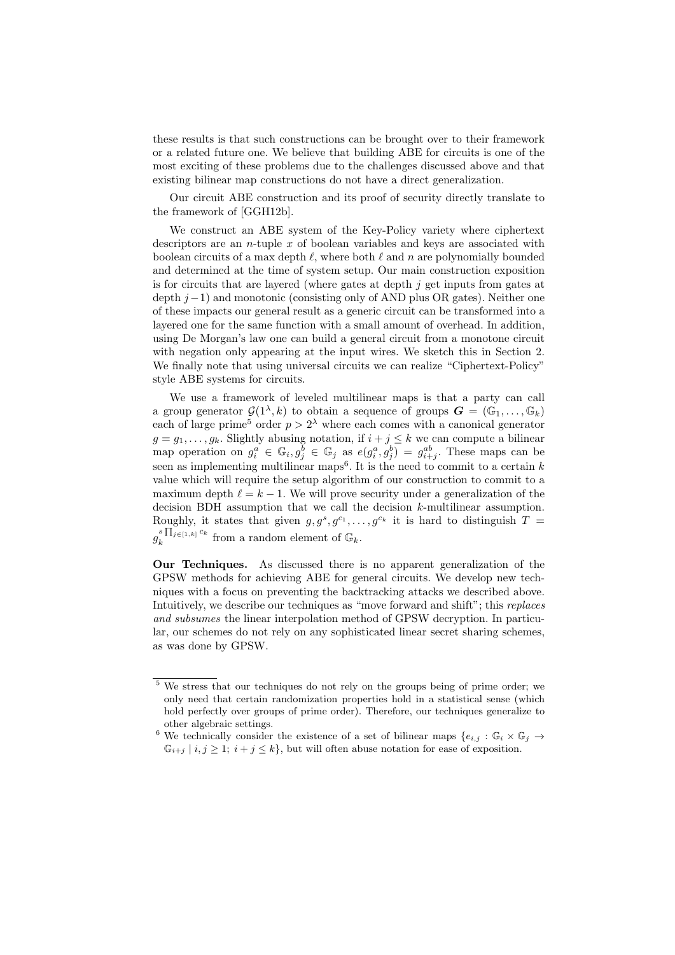these results is that such constructions can be brought over to their framework or a related future one. We believe that building ABE for circuits is one of the most exciting of these problems due to the challenges discussed above and that existing bilinear map constructions do not have a direct generalization.

Our circuit ABE construction and its proof of security directly translate to the framework of [GGH12b].

We construct an ABE system of the Key-Policy variety where ciphertext descriptors are an *n*-tuple x of boolean variables and keys are associated with boolean circuits of a max depth  $\ell$ , where both  $\ell$  and n are polynomially bounded and determined at the time of system setup. Our main construction exposition is for circuits that are layered (where gates at depth  $j$  get inputs from gates at depth j−1) and monotonic (consisting only of AND plus OR gates). Neither one of these impacts our general result as a generic circuit can be transformed into a layered one for the same function with a small amount of overhead. In addition, using De Morgan's law one can build a general circuit from a monotone circuit with negation only appearing at the input wires. We sketch this in Section 2. We finally note that using universal circuits we can realize "Ciphertext-Policy" style ABE systems for circuits.

We use a framework of leveled multilinear maps is that a party can call a group generator  $G(1^{\lambda}, k)$  to obtain a sequence of groups  $\boldsymbol{G} = (\mathbb{G}_1, \ldots, \mathbb{G}_k)$ each of large prime<sup>5</sup> order  $p > 2<sup>\lambda</sup>$  where each comes with a canonical generator  $g = g_1, \ldots, g_k$ . Slightly abusing notation, if  $i + j \leq k$  we can compute a bilinear map operation on  $g_i^a \in \mathbb{G}_i$ ,  $g_j^b \in \mathbb{G}_j$  as  $e(g_i^a, g_j^b) = g_{i+j}^{ab}$ . These maps can be seen as implementing multilinear maps<sup>6</sup>. It is the need to commit to a certain  $k$ value which will require the setup algorithm of our construction to commit to a maximum depth  $\ell = k - 1$ . We will prove security under a generalization of the decision BDH assumption that we call the decision k-multilinear assumption. Roughly, it states that given  $g, g^s, g^{c_1}, \ldots, g^{c_k}$  it is hard to distinguish  $T =$  $g_k^{s\prod_{j\in [1,k]}c_k}$  $\int_{k}^{s} \prod_{j\in[1,k]} c_k$  from a random element of  $\mathbb{G}_k$ .

Our Techniques. As discussed there is no apparent generalization of the GPSW methods for achieving ABE for general circuits. We develop new techniques with a focus on preventing the backtracking attacks we described above. Intuitively, we describe our techniques as "move forward and shift"; this replaces and subsumes the linear interpolation method of GPSW decryption. In particular, our schemes do not rely on any sophisticated linear secret sharing schemes, as was done by GPSW.

<sup>5</sup> We stress that our techniques do not rely on the groups being of prime order; we only need that certain randomization properties hold in a statistical sense (which hold perfectly over groups of prime order). Therefore, our techniques generalize to other algebraic settings.

<sup>&</sup>lt;sup>6</sup> We technically consider the existence of a set of bilinear maps  $\{e_{i,j} : \mathbb{G}_i \times \mathbb{G}_j \to \mathbb{G}_j\}$  $\mathbb{G}_{i+j} | i, j \geq 1; i+j \leq k$ , but will often abuse notation for ease of exposition.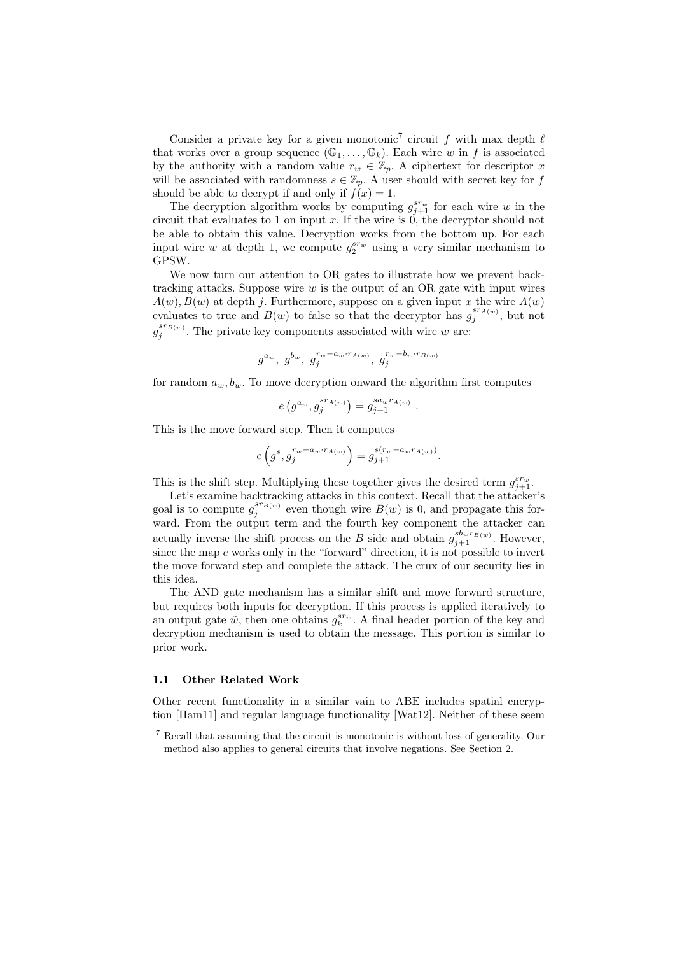Consider a private key for a given monotonic<sup>7</sup> circuit f with max depth  $\ell$ that works over a group sequence  $(\mathbb{G}_1, \ldots, \mathbb{G}_k)$ . Each wire w in f is associated by the authority with a random value  $r_w \in \mathbb{Z}_p$ . A ciphertext for descriptor x will be associated with randomness  $s \in \mathbb{Z}_p$ . A user should with secret key for f should be able to decrypt if and only if  $f(x) = 1$ .

The decryption algorithm works by computing  $g_{j+1}^{sr_w}$  for each wire w in the circuit that evaluates to 1 on input x. If the wire is  $\vec{0}$ , the decryptor should not be able to obtain this value. Decryption works from the bottom up. For each input wire w at depth 1, we compute  $g_2^{sr_w}$  using a very similar mechanism to GPSW.

We now turn our attention to OR gates to illustrate how we prevent backtracking attacks. Suppose wire  $w$  is the output of an OR gate with input wires  $A(w)$ ,  $B(w)$  at depth j. Furthermore, suppose on a given input x the wire  $A(w)$ evaluates to true and  $B(w)$  to false so that the decryptor has  $g_j^{s r_{A(w)}}$ , but not  $g_j^{sr_{B(w)}}$ . The private key components associated with wire w are:

$$
g^{a_w},\ g^{b_w},\ g^{r_w-a_w\cdot r_{A(w)}},\ g^{r_w-b_w\cdot r_{B(w)}}
$$

for random  $a_w, b_w$ . To move decryption onward the algorithm first computes

$$
e(g^{a_w}, g_j^{s r_{A(w)}}) = g_{j+1}^{s a_w r_{A(w)}}.
$$

This is the move forward step. Then it computes

$$
e\left(g^s,g^{r_w-a_w\cdot r_{A(w)}}_j\right)=g^{s(r_w-a_w r_{A(w)})}_{j+1}.
$$

This is the shift step. Multiplying these together gives the desired term  $g_{j+1}^{sr_w}$ .

Let's examine backtracking attacks in this context. Recall that the attacker's goal is to compute  $g_j^{sr_{B(w)}}$  even though wire  $B(w)$  is 0, and propagate this forward. From the output term and the fourth key component the attacker can actually inverse the shift process on the B side and obtain  $g_{j+1}^{sb_w r_{B(w)}}$ . However, since the map e works only in the "forward" direction, it is not possible to invert the move forward step and complete the attack. The crux of our security lies in this idea.

The AND gate mechanism has a similar shift and move forward structure, but requires both inputs for decryption. If this process is applied iteratively to an output gate  $\tilde{w}$ , then one obtains  $g_k^{sr_{\tilde{w}}}$ . A final header portion of the key and decryption mechanism is used to obtain the message. This portion is similar to prior work.

#### 1.1 Other Related Work

Other recent functionality in a similar vain to ABE includes spatial encryption [Ham11] and regular language functionality [Wat12]. Neither of these seem

<sup>7</sup> Recall that assuming that the circuit is monotonic is without loss of generality. Our method also applies to general circuits that involve negations. See Section 2.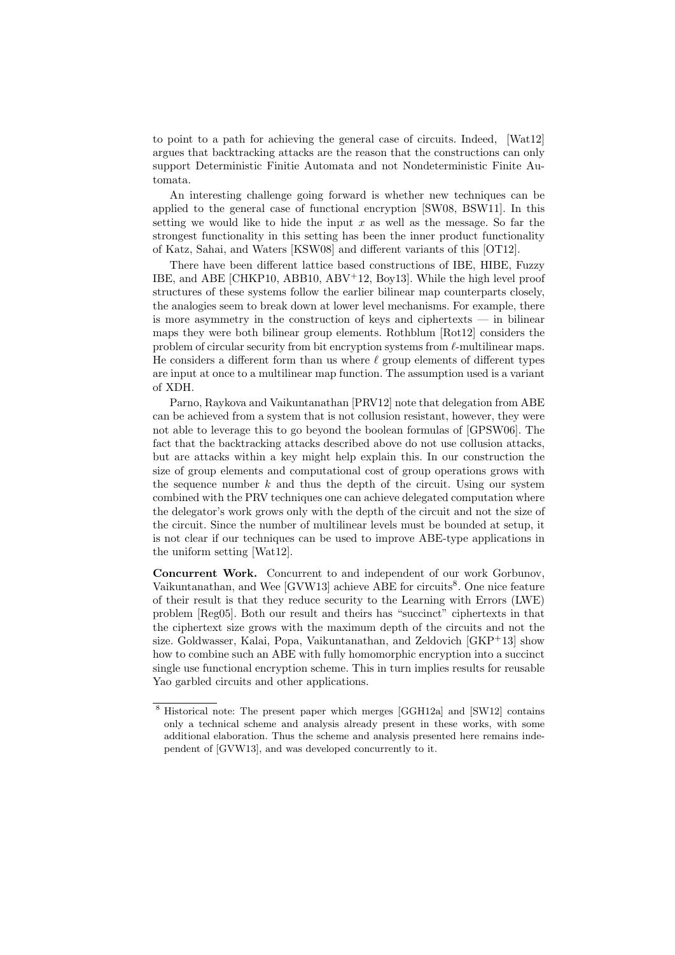to point to a path for achieving the general case of circuits. Indeed, [Wat12] argues that backtracking attacks are the reason that the constructions can only support Deterministic Finitie Automata and not Nondeterministic Finite Automata.

An interesting challenge going forward is whether new techniques can be applied to the general case of functional encryption [SW08, BSW11]. In this setting we would like to hide the input  $x$  as well as the message. So far the strongest functionality in this setting has been the inner product functionality of Katz, Sahai, and Waters [KSW08] and different variants of this [OT12].

There have been different lattice based constructions of IBE, HIBE, Fuzzy IBE, and ABE [CHKP10, ABB10, ABV+12, Boy13]. While the high level proof structures of these systems follow the earlier bilinear map counterparts closely, the analogies seem to break down at lower level mechanisms. For example, there is more asymmetry in the construction of keys and ciphertexts — in bilinear maps they were both bilinear group elements. Rothblum [Rot12] considers the problem of circular security from bit encryption systems from  $\ell$ -multilinear maps. He considers a different form than us where  $\ell$  group elements of different types are input at once to a multilinear map function. The assumption used is a variant of XDH.

Parno, Raykova and Vaikuntanathan [PRV12] note that delegation from ABE can be achieved from a system that is not collusion resistant, however, they were not able to leverage this to go beyond the boolean formulas of [GPSW06]. The fact that the backtracking attacks described above do not use collusion attacks, but are attacks within a key might help explain this. In our construction the size of group elements and computational cost of group operations grows with the sequence number  $k$  and thus the depth of the circuit. Using our system combined with the PRV techniques one can achieve delegated computation where the delegator's work grows only with the depth of the circuit and not the size of the circuit. Since the number of multilinear levels must be bounded at setup, it is not clear if our techniques can be used to improve ABE-type applications in the uniform setting [Wat12].

Concurrent Work. Concurrent to and independent of our work Gorbunov, Vaikuntanathan, and Wee  $[\text{GVW13}]$  achieve ABE for circuits<sup>8</sup>. One nice feature of their result is that they reduce security to the Learning with Errors (LWE) problem [Reg05]. Both our result and theirs has "succinct" ciphertexts in that the ciphertext size grows with the maximum depth of the circuits and not the size. Goldwasser, Kalai, Popa, Vaikuntanathan, and Zeldovich [GKP+13] show how to combine such an ABE with fully homomorphic encryption into a succinct single use functional encryption scheme. This in turn implies results for reusable Yao garbled circuits and other applications.

<sup>8</sup> Historical note: The present paper which merges [GGH12a] and [SW12] contains only a technical scheme and analysis already present in these works, with some additional elaboration. Thus the scheme and analysis presented here remains independent of [GVW13], and was developed concurrently to it.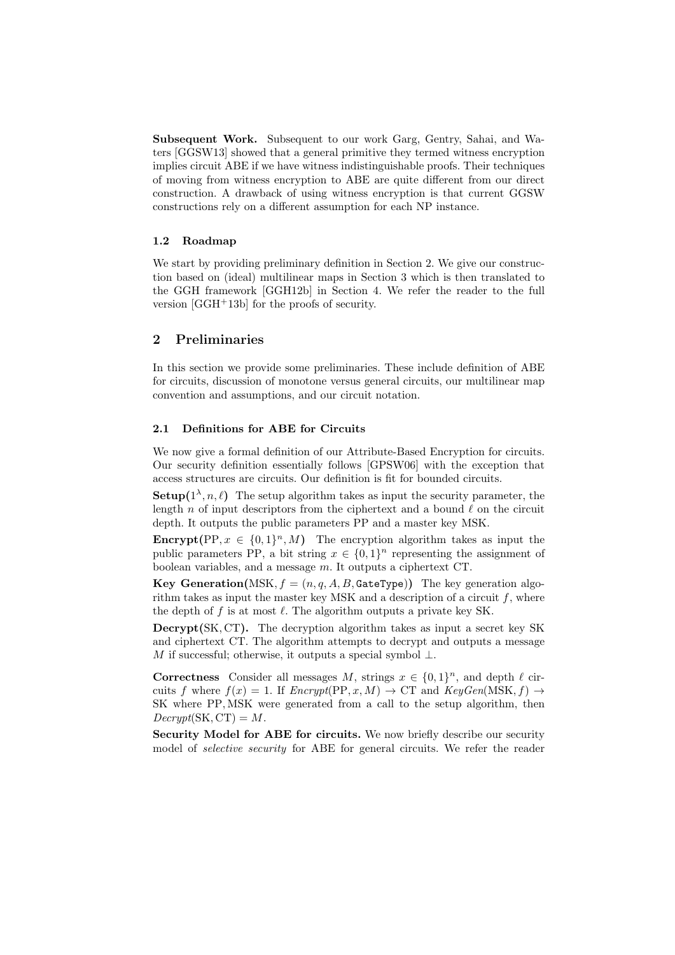Subsequent Work. Subsequent to our work Garg, Gentry, Sahai, and Waters [GGSW13] showed that a general primitive they termed witness encryption implies circuit ABE if we have witness indistinguishable proofs. Their techniques of moving from witness encryption to ABE are quite different from our direct construction. A drawback of using witness encryption is that current GGSW constructions rely on a different assumption for each NP instance.

### 1.2 Roadmap

We start by providing preliminary definition in Section 2. We give our construction based on (ideal) multilinear maps in Section 3 which is then translated to the GGH framework [GGH12b] in Section 4. We refer the reader to the full version [GGH+13b] for the proofs of security.

# 2 Preliminaries

In this section we provide some preliminaries. These include definition of ABE for circuits, discussion of monotone versus general circuits, our multilinear map convention and assumptions, and our circuit notation.

#### 2.1 Definitions for ABE for Circuits

We now give a formal definition of our Attribute-Based Encryption for circuits. Our security definition essentially follows [GPSW06] with the exception that access structures are circuits. Our definition is fit for bounded circuits.

**Setup**( $1^{\lambda}, n, \ell$ ) The setup algorithm takes as input the security parameter, the length n of input descriptors from the ciphertext and a bound  $\ell$  on the circuit depth. It outputs the public parameters PP and a master key MSK.

**Encrypt**(PP,  $x \in \{0,1\}^n$ , M) The encryption algorithm takes as input the public parameters PP, a bit string  $x \in \{0,1\}^n$  representing the assignment of boolean variables, and a message m. It outputs a ciphertext CT.

**Key Generation**(MSK,  $f = (n, q, A, B,$  GateType)) The key generation algorithm takes as input the master key MSK and a description of a circuit  $f$ , where the depth of f is at most  $\ell$ . The algorithm outputs a private key SK.

Decrypt(SK, CT). The decryption algorithm takes as input a secret key SK and ciphertext CT. The algorithm attempts to decrypt and outputs a message M if successful; otherwise, it outputs a special symbol  $\perp$ .

**Correctness** Consider all messages M, strings  $x \in \{0,1\}^n$ , and depth  $\ell$  circuits f where  $f(x) = 1$ . If  $\text{Encrupt}(PP, x, M) \rightarrow CT$  and  $\text{KeuGen}(MSK, f) \rightarrow$ SK where PP, MSK were generated from a call to the setup algorithm, then  $Decrypt(SK, CT) = M.$ 

Security Model for ABE for circuits. We now briefly describe our security model of selective security for ABE for general circuits. We refer the reader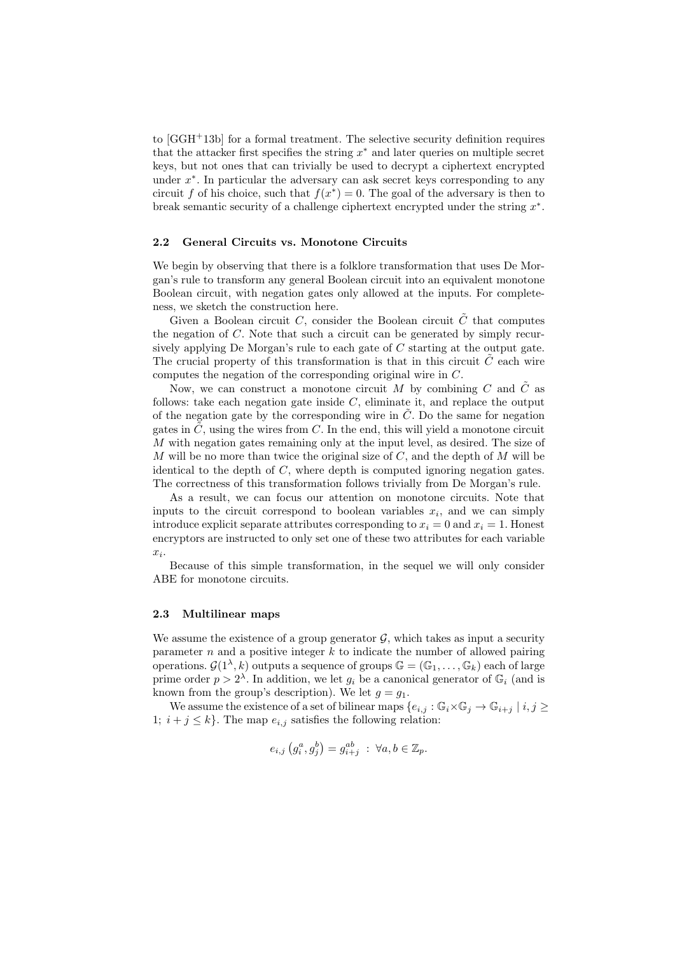to [GGH+13b] for a formal treatment. The selective security definition requires that the attacker first specifies the string  $x^*$  and later queries on multiple secret keys, but not ones that can trivially be used to decrypt a ciphertext encrypted under  $x^*$ . In particular the adversary can ask secret keys corresponding to any circuit f of his choice, such that  $f(x^*) = 0$ . The goal of the adversary is then to break semantic security of a challenge ciphertext encrypted under the string  $x^*$ .

#### 2.2 General Circuits vs. Monotone Circuits

We begin by observing that there is a folklore transformation that uses De Morgan's rule to transform any general Boolean circuit into an equivalent monotone Boolean circuit, with negation gates only allowed at the inputs. For completeness, we sketch the construction here.

Given a Boolean circuit C, consider the Boolean circuit  $\tilde{C}$  that computes the negation of  $C$ . Note that such a circuit can be generated by simply recursively applying De Morgan's rule to each gate of  $C$  starting at the output gate. The crucial property of this transformation is that in this circuit  $\tilde{C}$  each wire computes the negation of the corresponding original wire in C.

Now, we can construct a monotone circuit M by combining C and  $\tilde{C}$  as follows: take each negation gate inside  $C$ , eliminate it, and replace the output of the negation gate by the corresponding wire in  $\tilde{C}$ . Do the same for negation gates in  $\tilde{C}$ , using the wires from C. In the end, this will yield a monotone circuit  $M$  with negation gates remaining only at the input level, as desired. The size of  $M$  will be no more than twice the original size of  $C$ , and the depth of  $M$  will be identical to the depth of C, where depth is computed ignoring negation gates. The correctness of this transformation follows trivially from De Morgan's rule.

As a result, we can focus our attention on monotone circuits. Note that inputs to the circuit correspond to boolean variables  $x_i$ , and we can simply introduce explicit separate attributes corresponding to  $x_i = 0$  and  $x_i = 1$ . Honest encryptors are instructed to only set one of these two attributes for each variable  $x_i$ .

Because of this simple transformation, in the sequel we will only consider ABE for monotone circuits.

#### 2.3 Multilinear maps

We assume the existence of a group generator  $\mathcal{G}$ , which takes as input a security parameter  $n$  and a positive integer  $k$  to indicate the number of allowed pairing operations.  $\mathcal{G}(1^{\lambda}, k)$  outputs a sequence of groups  $\mathbb{G} = (\mathbb{G}_1, \ldots, \mathbb{G}_k)$  each of large prime order  $p > 2^{\lambda}$ . In addition, we let  $g_i$  be a canonical generator of  $\mathbb{G}_i$  (and is known from the group's description). We let  $q = q_1$ .

We assume the existence of a set of bilinear maps  $\{e_{i,j} : \mathbb{G}_i \times \mathbb{G}_j \to \mathbb{G}_{i+j} \mid i,j \geq j\}$ 1;  $i + j \leq k$ . The map  $e_{i,j}$  satisfies the following relation:

$$
e_{i,j}\left(g_i^a, g_j^b\right) = g_{i+j}^{ab} \; : \; \forall a, b \in \mathbb{Z}_p.
$$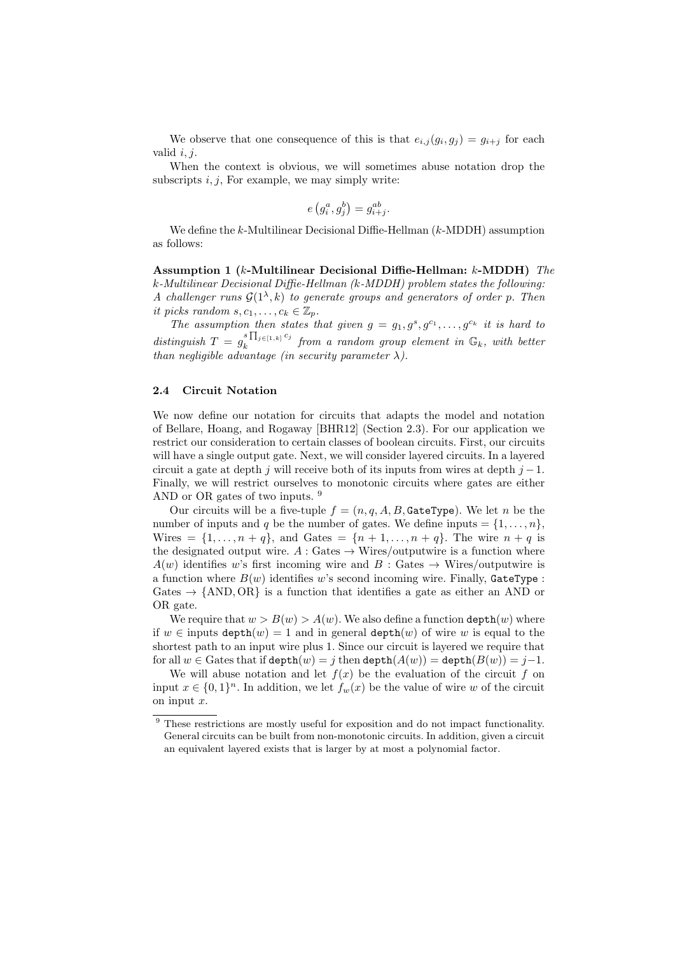We observe that one consequence of this is that  $e_{i,j}(g_i, g_j) = g_{i+j}$  for each valid  $i, j$ .

When the context is obvious, we will sometimes abuse notation drop the subscripts  $i, j$ , For example, we may simply write:

$$
e(g_i^a, g_j^b) = g_{i+j}^{ab}.
$$

We define the  $k$ -Multilinear Decisional Diffie-Hellman  $(k$ -MDDH) assumption as follows:

Assumption 1 (k-Multilinear Decisional Diffie-Hellman: k-MDDH) The k-Multilinear Decisional Diffie-Hellman (k-MDDH) problem states the following: A challenger runs  $\mathcal{G}(1^{\lambda},k)$  to generate groups and generators of order p. Then it picks random  $s, c_1, \ldots, c_k \in \mathbb{Z}_p$ .

The assumption then states that given  $g = g_1, g^s, g^{c_1}, \ldots, g^{c_k}$  it is hard to distinguish  $T = g_k^{s \prod_{j \in [1,k]} c_j}$  $\int_{k}^{s} 11_{j \in [1,k]} c_j$  from a random group element in  $\mathbb{G}_k$ , with better than negligible advantage (in security parameter  $\lambda$ ).

#### 2.4 Circuit Notation

We now define our notation for circuits that adapts the model and notation of Bellare, Hoang, and Rogaway [BHR12] (Section 2.3). For our application we restrict our consideration to certain classes of boolean circuits. First, our circuits will have a single output gate. Next, we will consider layered circuits. In a layered circuit a gate at depth j will receive both of its inputs from wires at depth  $j-1$ . Finally, we will restrict ourselves to monotonic circuits where gates are either AND or OR gates of two inputs. <sup>9</sup>

Our circuits will be a five-tuple  $f = (n, q, A, B,$  GateType). We let n be the number of inputs and q be the number of gates. We define inputs  $= \{1, \ldots, n\}$ , Wires  $= \{1, \ldots, n+q\}$ , and Gates  $= \{n+1, \ldots, n+q\}$ . The wire  $n+q$  is the designated output wire.  $A :$  Gates  $\rightarrow$  Wires/outputwire is a function where  $A(w)$  identifies w's first incoming wire and  $B :$  Gates  $\rightarrow$  Wires/outputwire is a function where  $B(w)$  identifies w's second incoming wire. Finally, GateType : Gates  $\rightarrow$  {AND, OR} is a function that identifies a gate as either an AND or OR gate.

We require that  $w > B(w) > A(w)$ . We also define a function depth $(w)$  where if  $w \in \text{inputs depth}(w) = 1$  and in general depth $(w)$  of wire w is equal to the shortest path to an input wire plus 1. Since our circuit is layered we require that for all  $w \in$  Gates that if  $\text{depth}(w) = j$  then  $\text{depth}(A(w)) = \text{depth}(B(w)) = j-1$ .

We will abuse notation and let  $f(x)$  be the evaluation of the circuit f on input  $x \in \{0,1\}^n$ . In addition, we let  $f_w(x)$  be the value of wire w of the circuit on input  $x$ .

 $9$  These restrictions are mostly useful for exposition and do not impact functionality. General circuits can be built from non-monotonic circuits. In addition, given a circuit an equivalent layered exists that is larger by at most a polynomial factor.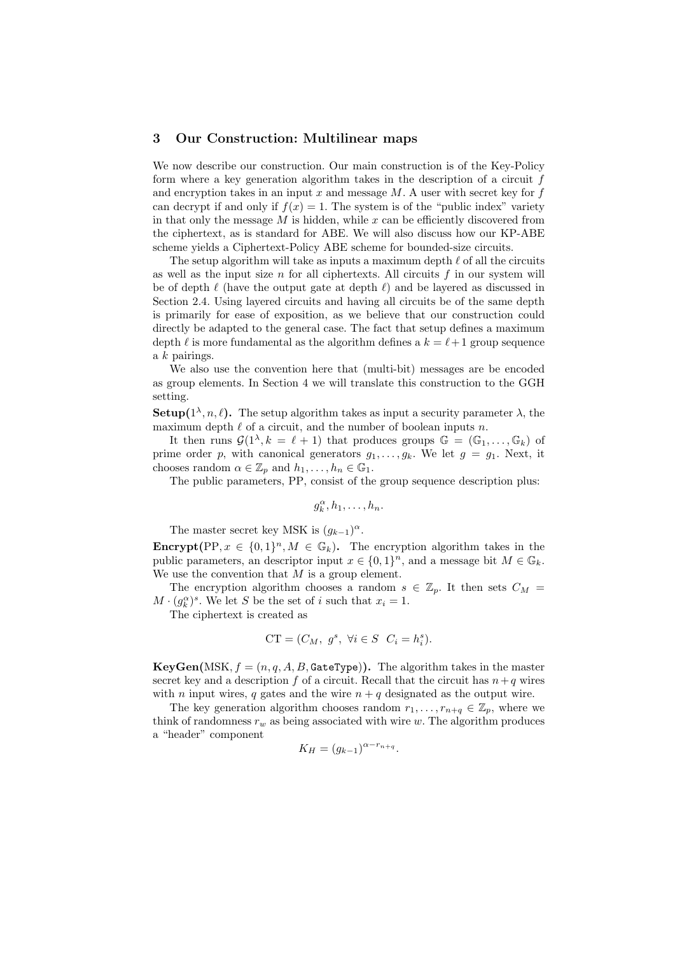### 3 Our Construction: Multilinear maps

We now describe our construction. Our main construction is of the Key-Policy form where a key generation algorithm takes in the description of a circuit f and encryption takes in an input  $x$  and message  $M$ . A user with secret key for  $f$ can decrypt if and only if  $f(x) = 1$ . The system is of the "public index" variety in that only the message  $M$  is hidden, while  $x$  can be efficiently discovered from the ciphertext, as is standard for ABE. We will also discuss how our KP-ABE scheme yields a Ciphertext-Policy ABE scheme for bounded-size circuits.

The setup algorithm will take as inputs a maximum depth  $\ell$  of all the circuits as well as the input size  $n$  for all ciphertexts. All circuits  $f$  in our system will be of depth  $\ell$  (have the output gate at depth  $\ell$ ) and be layered as discussed in Section 2.4. Using layered circuits and having all circuits be of the same depth is primarily for ease of exposition, as we believe that our construction could directly be adapted to the general case. The fact that setup defines a maximum depth  $\ell$  is more fundamental as the algorithm defines a  $k = \ell + 1$  group sequence a k pairings.

We also use the convention here that (multi-bit) messages are be encoded as group elements. In Section 4 we will translate this construction to the GGH setting.

**Setup**( $1^{\lambda}, n, \ell$ ). The setup algorithm takes as input a security parameter  $\lambda$ , the maximum depth  $\ell$  of a circuit, and the number of boolean inputs n.

It then runs  $\mathcal{G}(1^{\lambda}, k = \ell + 1)$  that produces groups  $\mathbb{G} = (\mathbb{G}_1, \ldots, \mathbb{G}_k)$  of prime order p, with canonical generators  $g_1, \ldots, g_k$ . We let  $g = g_1$ . Next, it chooses random  $\alpha \in \mathbb{Z}_n$  and  $h_1, \ldots, h_n \in \mathbb{G}_1$ .

The public parameters, PP, consist of the group sequence description plus:

$$
g_k^{\alpha}, h_1, \ldots, h_n.
$$

The master secret key MSK is  $(g_{k-1})^{\alpha}$ .

**Encrypt**(PP,  $x \in \{0,1\}^n$ ,  $M \in \mathbb{G}_k$ ). The encryption algorithm takes in the public parameters, an descriptor input  $x \in \{0,1\}^n$ , and a message bit  $M \in \mathbb{G}_k$ . We use the convention that  $M$  is a group element.

The encryption algorithm chooses a random  $s \in \mathbb{Z}_p$ . It then sets  $C_M$  =  $M \cdot (g_k^{\alpha})^s$ . We let S be the set of i such that  $x_i = 1$ .

The ciphertext is created as

$$
CT = (C_M, g^s, \forall i \in S \ \ C_i = h_i^s).
$$

**KeyGen**(MSK,  $f = (n, q, A, B,$  GateType)). The algorithm takes in the master secret key and a description f of a circuit. Recall that the circuit has  $n+q$  wires with *n* input wires, q gates and the wire  $n + q$  designated as the output wire.

The key generation algorithm chooses random  $r_1, \ldots, r_{n+q} \in \mathbb{Z}_p$ , where we think of randomness  $r_w$  as being associated with wire w. The algorithm produces a "header" component

$$
K_H = (g_{k-1})^{\alpha - r_{n+q}}.
$$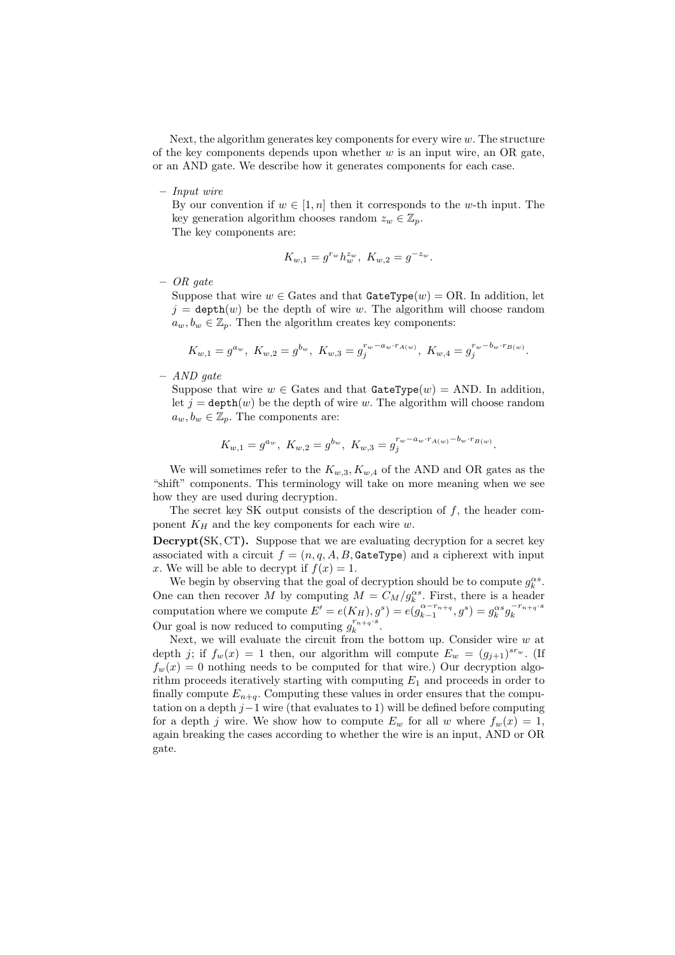Next, the algorithm generates key components for every wire  $w$ . The structure of the key components depends upon whether  $w$  is an input wire, an OR gate, or an AND gate. We describe how it generates components for each case.

– Input wire

By our convention if  $w \in [1, n]$  then it corresponds to the w-th input. The key generation algorithm chooses random  $z_w \in \mathbb{Z}_p$ . The key components are:

$$
K_{w,1} = g^{r_w} h_w^{z_w}, \ K_{w,2} = g^{-z_w}.
$$

– OR gate

Suppose that wire  $w \in$  Gates and that  $\texttt{GateType}(w) = \text{OR}$ . In addition, let  $j = \text{depth}(w)$  be the depth of wire w. The algorithm will choose random  $a_w, b_w \in \mathbb{Z}_p$ . Then the algorithm creates key components:

$$
K_{w,1} = g^{a_w}, K_{w,2} = g^{b_w}, K_{w,3} = g_j^{r_w - a_w \cdot r_{A(w)}}, K_{w,4} = g_j^{r_w - b_w \cdot r_{B(w)}}.
$$

– AND gate

Suppose that wire  $w \in$  Gates and that  $\texttt{GateType}(w) = \text{AND}$ . In addition, let  $j = \text{depth}(w)$  be the depth of wire w. The algorithm will choose random  $a_w, b_w \in \mathbb{Z}_n$ . The components are:

$$
K_{w,1} = g^{a_w}, K_{w,2} = g^{b_w}, K_{w,3} = g_j^{r_w - a_w \cdot r_{A(w)} - b_w \cdot r_{B(w)}}.
$$

We will sometimes refer to the  $K_{w,3}$ ,  $K_{w,4}$  of the AND and OR gates as the "shift" components. This terminology will take on more meaning when we see how they are used during decryption.

The secret key SK output consists of the description of  $f$ , the header component  $K_H$  and the key components for each wire w.

Decrypt(SK, CT). Suppose that we are evaluating decryption for a secret key associated with a circuit  $f = (n, q, A, B,$  GateType) and a cipherext with input x. We will be able to decrypt if  $f(x) = 1$ .

We begin by observing that the goal of decryption should be to compute  $g_k^{\alpha s}$ . One can then recover M by computing  $M = C_M/g_k^{\alpha s}$ . First, there is a header computation where we compute  $E' = e(K_H), g^s) = e(g_{k-1}^{\alpha-r_{n+q}}, g^s) = g_k^{\alpha s} g_k^{-r_{n+q}}$ Our goal is now reduced to computing  $g_k^{r_{n+q}}$ .

Next, we will evaluate the circuit from the bottom up. Consider wire  $w$  at depth j; if  $f_w(x) = 1$  then, our algorithm will compute  $E_w = (g_{j+1})^{sr_w}$ . (If  $f_w(x) = 0$  nothing needs to be computed for that wire.) Our decryption algorithm proceeds iteratively starting with computing  $E_1$  and proceeds in order to finally compute  $E_{n+q}$ . Computing these values in order ensures that the computation on a depth  $j-1$  wire (that evaluates to 1) will be defined before computing for a depth j wire. We show how to compute  $E_w$  for all w where  $f_w(x) = 1$ , again breaking the cases according to whether the wire is an input, AND or OR gate.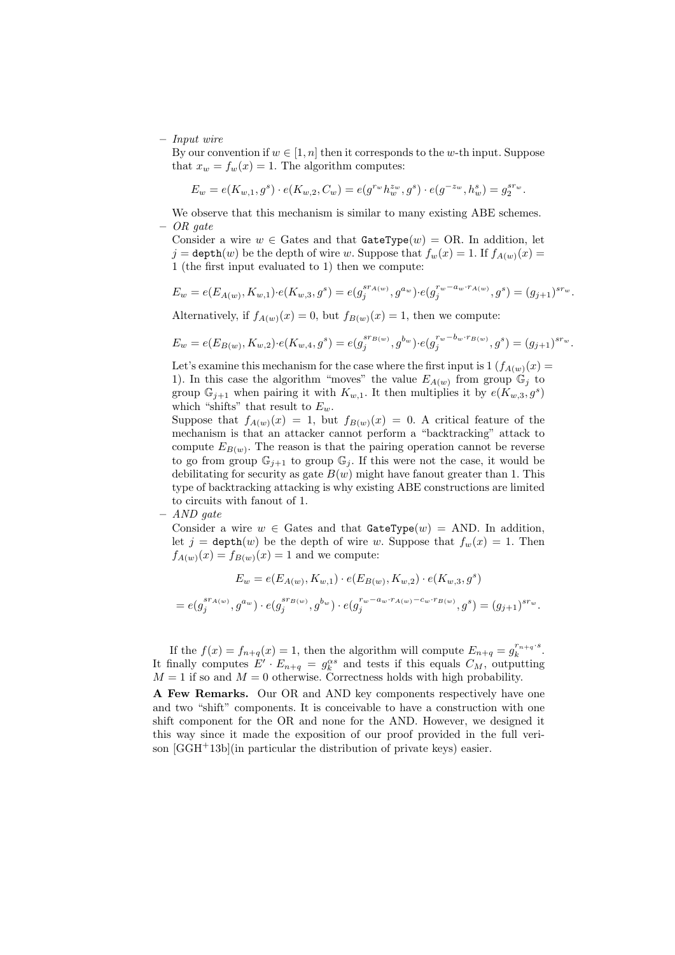#### – Input wire

By our convention if  $w \in [1, n]$  then it corresponds to the w-th input. Suppose that  $x_w = f_w(x) = 1$ . The algorithm computes:

$$
E_w = e(K_{w,1}, g^s) \cdot e(K_{w,2}, C_w) = e(g^{r_w} h_w^{z_w}, g^s) \cdot e(g^{-z_w}, h_w^s) = g_2^{sr_w}.
$$

We observe that this mechanism is similar to many existing ABE schemes. – OR gate

Consider a wire  $w \in$  Gates and that  $\texttt{GateType}(w) = \text{OR}$ . In addition, let  $j =$  depth $(w)$  be the depth of wire w. Suppose that  $f_w(x) = 1$ . If  $f_{A(w)}(x) =$ 1 (the first input evaluated to 1) then we compute:

$$
E_w = e(E_{A(w)}, K_{w,1}) \cdot e(K_{w,3}, g^s) = e(g_j^{sr_{A(w)}}, g^{a_w}) \cdot e(g_j^{r_w - a_w \cdot r_{A(w)}}, g^s) = (g_{j+1})^{sr_w}.
$$

Alternatively, if  $f_{A(w)}(x) = 0$ , but  $f_{B(w)}(x) = 1$ , then we compute:

$$
E_w = e(E_{B(w)}, K_{w,2}) \cdot e(K_{w,4}, g^s) = e(g_j^{s r_{B(w)}}, g^{b_w}) \cdot e(g_j^{r_w - b_w \cdot r_{B(w)}}, g^s) = (g_{j+1})^{s r_w}.
$$

Let's examine this mechanism for the case where the first input is  $1 (f_{A(w)}(x))$ 1). In this case the algorithm "moves" the value  $E_{A(w)}$  from group  $\mathbb{G}_j$  to group  $\mathbb{G}_{j+1}$  when pairing it with  $K_{w,1}$ . It then multiplies it by  $e(K_{w,3}, g^s)$ which "shifts" that result to  $E_w$ .

Suppose that  $f_{A(w)}(x) = 1$ , but  $f_{B(w)}(x) = 0$ . A critical feature of the mechanism is that an attacker cannot perform a "backtracking" attack to compute  $E_{B(w)}$ . The reason is that the pairing operation cannot be reverse to go from group  $\mathbb{G}_{j+1}$  to group  $\mathbb{G}_j$ . If this were not the case, it would be debilitating for security as gate  $B(w)$  might have fanout greater than 1. This type of backtracking attacking is why existing ABE constructions are limited to circuits with fanout of 1.

– AND gate

Consider a wire  $w \in$  Gates and that  $\texttt{GateType}(w) = \text{AND}$ . In addition, let  $j = \text{depth}(w)$  be the depth of wire w. Suppose that  $f_w(x) = 1$ . Then  $f_{A(w)}(x) = f_{B(w)}(x) = 1$  and we compute:

$$
E_w = e(E_{A(w)}, K_{w,1}) \cdot e(E_{B(w)}, K_{w,2}) \cdot e(K_{w,3}, g^s)
$$
  
=  $e(g_j^{s r_{A(w)}}, g^{a_w}) \cdot e(g_j^{s r_{B(w)}}, g^{b_w}) \cdot e(g_j^{r_w - a_w \cdot r_{A(w)} - c_w \cdot r_{B(w)}}, g^s) = (g_{j+1})^{s r_w}.$ 

If the  $f(x) = f_{n+q}(x) = 1$ , then the algorithm will compute  $E_{n+q} = g_k^{r_{n+q} \cdot s}$ . It finally computes  $E' \cdot E_{n+q} = g_k^{\alpha s}$  and tests if this equals  $C_M$ , outputting  $M = 1$  if so and  $M = 0$  otherwise. Correctness holds with high probability.

A Few Remarks. Our OR and AND key components respectively have one and two "shift" components. It is conceivable to have a construction with one shift component for the OR and none for the AND. However, we designed it this way since it made the exposition of our proof provided in the full verison  $[GGH^+13b]$ (in particular the distribution of private keys) easier.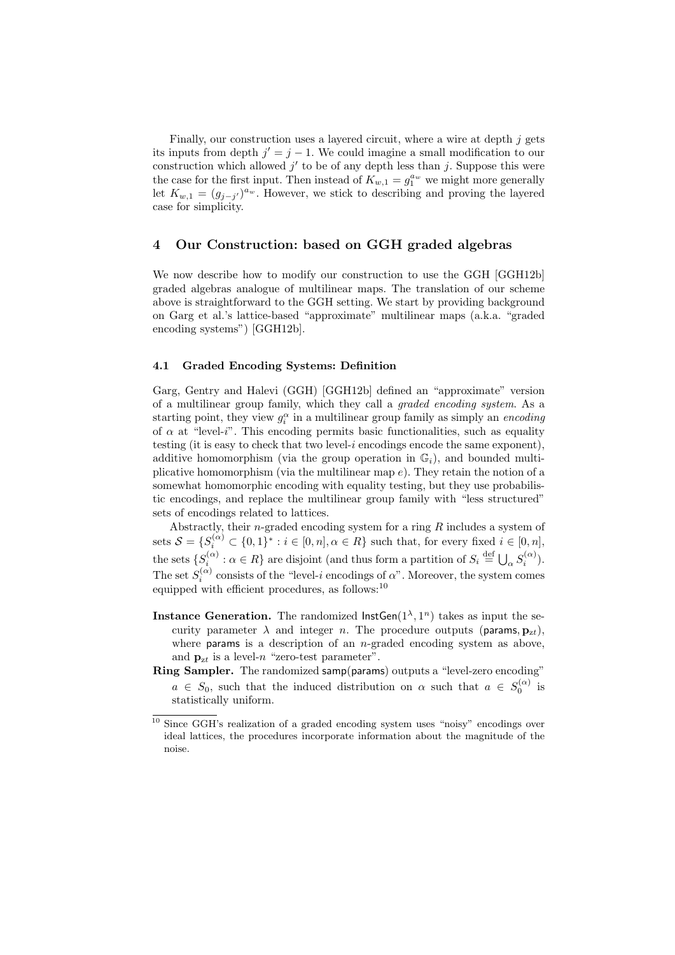Finally, our construction uses a layered circuit, where a wire at depth j gets its inputs from depth  $j' = j - 1$ . We could imagine a small modification to our construction which allowed  $j'$  to be of any depth less than j. Suppose this were the case for the first input. Then instead of  $K_{w,1} = g_1^{a_w}$  we might more generally let  $K_{w,1} = (g_{j-j'})^{a_w}$ . However, we stick to describing and proving the layered case for simplicity.

## 4 Our Construction: based on GGH graded algebras

We now describe how to modify our construction to use the GGH [GGH12b] graded algebras analogue of multilinear maps. The translation of our scheme above is straightforward to the GGH setting. We start by providing background on Garg et al.'s lattice-based "approximate" multilinear maps (a.k.a. "graded encoding systems") [GGH12b].

#### 4.1 Graded Encoding Systems: Definition

Garg, Gentry and Halevi (GGH) [GGH12b] defined an "approximate" version of a multilinear group family, which they call a graded encoding system. As a starting point, they view  $g_i^{\alpha}$  in a multilinear group family as simply an *encoding* of  $\alpha$  at "level-i". This encoding permits basic functionalities, such as equality testing (it is easy to check that two level-i encodings encode the same exponent), additive homomorphism (via the group operation in  $\mathbb{G}_i$ ), and bounded multiplicative homomorphism (via the multilinear map  $e$ ). They retain the notion of a somewhat homomorphic encoding with equality testing, but they use probabilistic encodings, and replace the multilinear group family with "less structured" sets of encodings related to lattices.

Abstractly, their  $n$ -graded encoding system for a ring  $R$  includes a system of sets  $S = \{S_i^{(\alpha)} \subset \{0,1\}^* : i \in [0,n], \alpha \in R\}$  such that, for every fixed  $i \in [0,n]$ , the sets  $\{S_i^{(\alpha)} : \alpha \in R\}$  are disjoint (and thus form a partition of  $S_i \stackrel{\text{def}}{=} \bigcup_{\alpha} S_i^{(\alpha)}$ ). The set  $S_i^{(\alpha)}$  consists of the "level-i encodings of  $\alpha$ ". Moreover, the system comes equipped with efficient procedures, as follows: $^{10}$ 

- **Instance Generation.** The randomized  $\mathsf{InstGen}(1^{\lambda}, 1^n)$  takes as input the security parameter  $\lambda$  and integer n. The procedure outputs (params,  $p_{zt}$ ), where **params** is a description of an *n*-graded encoding system as above, and  $\mathbf{p}_{zt}$  is a level-n "zero-test parameter".
- Ring Sampler. The randomized samp(params) outputs a "level-zero encoding"  $a \in S_0$ , such that the induced distribution on  $\alpha$  such that  $a \in S_0^{(\alpha)}$  is statistically uniform.

<sup>10</sup> Since GGH's realization of a graded encoding system uses "noisy" encodings over ideal lattices, the procedures incorporate information about the magnitude of the noise.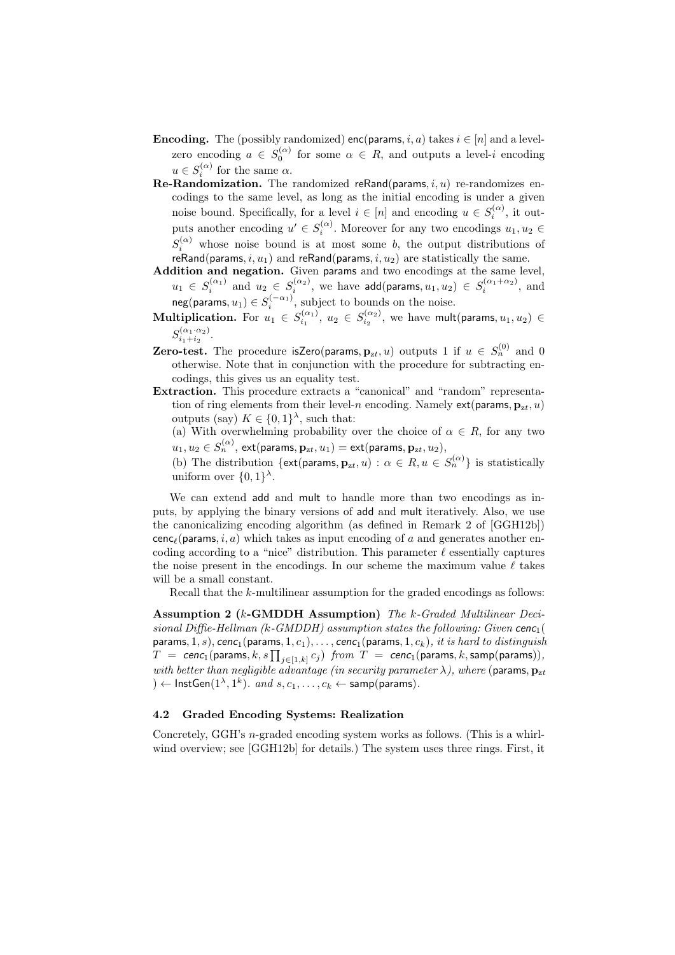- **Encoding.** The (possibly randomized) enc(params, i, a) takes  $i \in [n]$  and a levelzero encoding  $a \in S_0^{(\alpha)}$  for some  $\alpha \in R$ , and outputs a level-*i* encoding  $u \in S_i^{(\alpha)}$  for the same  $\alpha$ .
- **Re-Randomization.** The randomized reRand(params, i, u) re-randomizes encodings to the same level, as long as the initial encoding is under a given noise bound. Specifically, for a level  $i \in [n]$  and encoding  $u \in S_i^{(\alpha)}$ , it outputs another encoding  $u' \in S_i^{(\alpha)}$ . Moreover for any two encodings  $u_1, u_2 \in$  $S_i^{(\alpha)}$  whose noise bound is at most some b, the output distributions of reRand(params,  $i, u_1$ ) and reRand(params,  $i, u_2$ ) are statistically the same.
- Addition and negation. Given params and two encodings at the same level,  $u_1 \in S_i^{(\alpha_1)}$  and  $u_2 \in S_i^{(\alpha_2)}$ , we have add(params,  $u_1, u_2) \in S_i^{(\alpha_1 + \alpha_2)}$ , and  $\mathsf{neg}(\mathsf{params}, u_1) \in S_i^{(-\alpha_1)},$  subject to bounds on the noise.
- $\mathbf{Multiplication.} \ \ \text{For} \ \ u_1 \ \in \ S_{i_1}^{(\alpha_1)}, \ u_2 \ \in \ S_{i_2}^{(\alpha_2)}, \ \text{we have } \mathsf{mult}(\mathsf{params}, u_1, u_2) \ \in$  $S_{i_1+i_2}^{(\alpha_1 \cdot \alpha_2)}$ .
- **Zero-test.** The procedure isZero(params,  $\mathbf{p}_{zt}, u$ ) outputs 1 if  $u \in S_n^{(0)}$  and 0 otherwise. Note that in conjunction with the procedure for subtracting encodings, this gives us an equality test.
- Extraction. This procedure extracts a "canonical" and "random" representation of ring elements from their level-n encoding. Namely ext(params,  $\mathbf{p}_{\alpha t}$ , u) outputs (say)  $K \in \{0,1\}^{\lambda}$ , such that:
	- (a) With overwhelming probability over the choice of  $\alpha \in R$ , for any two  $u_1,u_2\in S_n^{(\alpha)},\,$ ext $($ params,  $\mathbf{p}_{zt},u_1)=$  ext $($ params,  $\mathbf{p}_{zt},u_2),$
	- (b) The distribution  $\{\text{ext}(params, p_{zt}, u) : \alpha \in R, u \in S_n^{(\alpha)}\}\)$  is statistically uniform over  $\{0,1\}^{\lambda}$ .

We can extend add and mult to handle more than two encodings as inputs, by applying the binary versions of add and mult iteratively. Also, we use the canonicalizing encoding algorithm (as defined in Remark 2 of [GGH12b]) cenc<sub> $\ell$ </sub>(params, i, a) which takes as input encoding of a and generates another encoding according to a "nice" distribution. This parameter  $\ell$  essentially captures the noise present in the encodings. In our scheme the maximum value  $\ell$  takes will be a small constant.

Recall that the k-multilinear assumption for the graded encodings as follows:

Assumption 2 (k-GMDDH Assumption) The k-Graded Multilinear Decisional Diffie-Hellman (k-GMDDH) assumption states the following: Given  $cenc_1($ params, 1, s), cenc<sub>1</sub>(params, 1, c<sub>1</sub>), ..., cenc<sub>1</sub>(params, 1, c<sub>k</sub>), it is hard to distinguish  $T~=~$  cenc $_1$ (params,  $k,s\prod_{j\in [1,k]}c_j)~\textit{ from }~ T~=~$  cenc $_1$ (params,  $k,$  samp(params)), with better than negligible advantage (in security parameter  $\lambda$ ), where (params,  $p_{zt}$  $) \leftarrow {\sf InstGen}(1^{\lambda},1^k). ~\mathit{and}~ s,c_1,\ldots,c_k \leftarrow {\sf samp}({\sf params}).$ 

#### 4.2 Graded Encoding Systems: Realization

Concretely, GGH's n-graded encoding system works as follows. (This is a whirlwind overview; see [GGH12b] for details.) The system uses three rings. First, it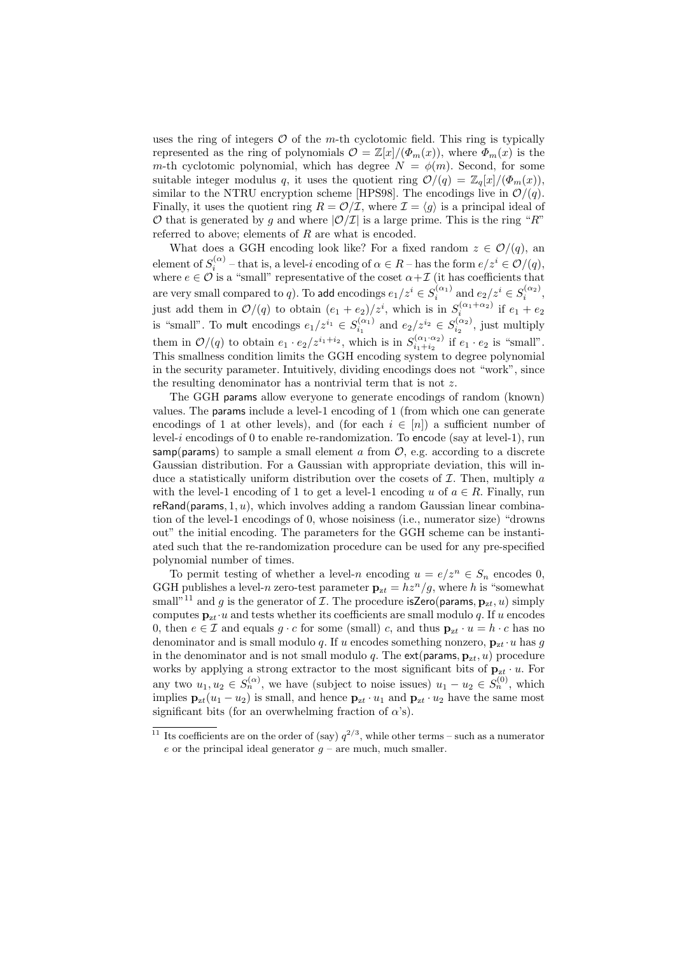uses the ring of integers  $\mathcal O$  of the m-th cyclotomic field. This ring is typically represented as the ring of polynomials  $\mathcal{O} = \mathbb{Z}[x]/(\Phi_m(x))$ , where  $\Phi_m(x)$  is the m-th cyclotomic polynomial, which has degree  $N = \phi(m)$ . Second, for some suitable integer modulus q, it uses the quotient ring  $\mathcal{O}/(q) = \mathbb{Z}_q[x]/(\Phi_m(x)),$ similar to the NTRU encryption scheme [HPS98]. The encodings live in  $\mathcal{O}/(q)$ . Finally, it uses the quotient ring  $R = \mathcal{O}/\mathcal{I}$ , where  $\mathcal{I} = \langle g \rangle$  is a principal ideal of O that is generated by q and where  $\mathcal{O}/\mathcal{I}$  is a large prime. This is the ring "R" referred to above; elements of  $R$  are what is encoded.

What does a GGH encoding look like? For a fixed random  $z \in \mathcal{O}/(q)$ , an element of  $S_i^{(\alpha)}$  – that is, a level-i encoding of  $\alpha \in R$  – has the form  $e/z^i \in \mathcal{O}/(q)$ , where  $e \in \mathcal{O}$  is a "small" representative of the coset  $\alpha + \mathcal{I}$  (it has coefficients that are very small compared to q). To add encodings  $e_1/z^i \in S_i^{(\alpha_1)}$  and  $e_2/z^i \in S_i^{(\alpha_2)}$ , just add them in  $\mathcal{O}/(q)$  to obtain  $(e_1 + e_2)/z^i$ , which is in  $S_i^{(\alpha_1 + \alpha_2)}$  if  $e_1 + e_2$ is "small". To mult encodings  $e_1/z^{i_1} \in S_{i_1}^{(\alpha_1)}$  and  $e_2/z^{i_2} \in S_{i_2}^{(\alpha_2)}$ , just multiply them in  $\mathcal{O}/(q)$  to obtain  $e_1 \cdot e_2/z^{i_1+i_2}$ , which is in  $S_{i_1+i_2}^{(\alpha_1 \cdot \alpha_2)}$  if  $e_1 \cdot e_2$  is "small". This smallness condition limits the GGH encoding system to degree polynomial in the security parameter. Intuitively, dividing encodings does not "work", since the resulting denominator has a nontrivial term that is not z.

The GGH params allow everyone to generate encodings of random (known) values. The params include a level-1 encoding of 1 (from which one can generate encodings of 1 at other levels), and (for each  $i \in [n]$ ) a sufficient number of level-i encodings of 0 to enable re-randomization. To encode (say at level-1), run samp(params) to sample a small element a from  $\mathcal{O}$ , e.g. according to a discrete Gaussian distribution. For a Gaussian with appropriate deviation, this will induce a statistically uniform distribution over the cosets of  $\mathcal{I}$ . Then, multiply  $a$ with the level-1 encoding of 1 to get a level-1 encoding u of  $a \in R$ . Finally, run  $reRand(params, 1, u)$ , which involves adding a random Gaussian linear combination of the level-1 encodings of 0, whose noisiness (i.e., numerator size) "drowns out" the initial encoding. The parameters for the GGH scheme can be instantiated such that the re-randomization procedure can be used for any pre-specified polynomial number of times.

To permit testing of whether a level-n encoding  $u = e/z^n \in S_n$  encodes 0, GGH publishes a level-n zero-test parameter  $p_{zt} = hz^n/g$ , where h is "somewhat small<sup>"11</sup> and g is the generator of  $\mathcal I$ . The procedure isZero(params,  ${\bf p}_{zt}$ , u) simply computes  $\mathbf{p}_{zt} \cdot u$  and tests whether its coefficients are small modulo q. If u encodes 0, then  $e \in \mathcal{I}$  and equals  $g \cdot c$  for some (small) c, and thus  $\mathbf{p}_{zt} \cdot u = h \cdot c$  has no denominator and is small modulo q. If u encodes something nonzero,  $\mathbf{p}_{zt} \cdot u$  has q in the denominator and is not small modulo q. The  $ext{(params, p_{zt}, u)}$  procedure works by applying a strong extractor to the most significant bits of  $\mathbf{p}_{zt} \cdot u$ . For any two  $u_1, u_2 \in S_n^{(\alpha)}$ , we have (subject to noise issues)  $u_1 - u_2 \in S_n^{(0)}$ , which implies  $\mathbf{p}_{zt}(u_1 - u_2)$  is small, and hence  $\mathbf{p}_{zt} \cdot u_1$  and  $\mathbf{p}_{zt} \cdot u_2$  have the same most significant bits (for an overwhelming fraction of  $\alpha$ 's).

<sup>&</sup>lt;sup>11</sup> Its coefficients are on the order of (say)  $q^{2/3}$ , while other terms – such as a numerator e or the principal ideal generator  $q$  – are much, much smaller.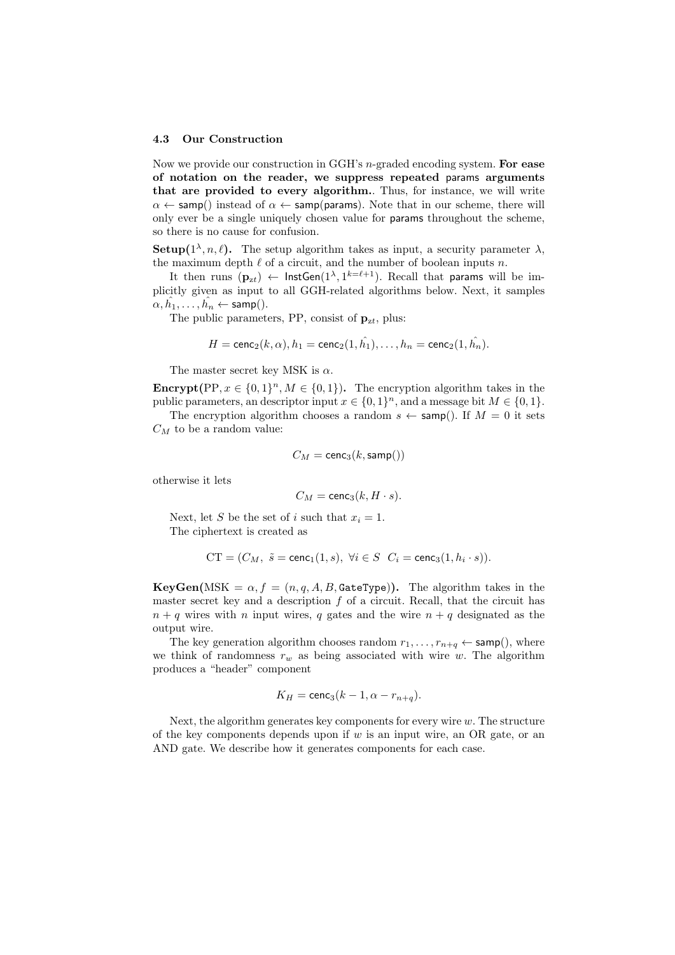#### 4.3 Our Construction

Now we provide our construction in GGH's *n*-graded encoding system. For ease of notation on the reader, we suppress repeated params arguments that are provided to every algorithm.. Thus, for instance, we will write  $\alpha \leftarrow$  samp() instead of  $\alpha \leftarrow$  samp(params). Note that in our scheme, there will only ever be a single uniquely chosen value for params throughout the scheme, so there is no cause for confusion.

**Setup**( $1^{\lambda}, n, \ell$ ). The setup algorithm takes as input, a security parameter  $\lambda$ , the maximum depth  $\ell$  of a circuit, and the number of boolean inputs n.

It then runs  $(\mathbf{p}_{zt}) \leftarrow \mathsf{InstGen}(1^{\lambda}, 1^{k=\ell+1})$ . Recall that params will be implicitly given as input to all GGH-related algorithms below. Next, it samples  $\alpha, \hat{h_1}, \ldots, \hat{h_n} \leftarrow \textsf{sample}(1).$ 

The public parameters, PP, consist of  $\mathbf{p}_{zt}$ , plus:

$$
H=\mathrm{cenc}_2(k,\alpha), h_1=\mathrm{cenc}_2(1,\hat{h_1}),\ldots, h_n=\mathrm{cenc}_2(1,\hat{h_n}).
$$

The master secret key MSK is  $\alpha$ .

**Encrypt**(PP,  $x \in \{0,1\}^n$ ,  $M \in \{0,1\}$ ). The encryption algorithm takes in the public parameters, an descriptor input  $x \in \{0,1\}^n$ , and a message bit  $M \in \{0,1\}$ . The encryption algorithm chooses a random  $s \leftarrow \text{ samp}()$ . If  $M = 0$  it sets

 $C_M$  to be a random value:

$$
C_M = \mathsf{cenc}_3(k, \mathsf{samp}())
$$

otherwise it lets

$$
C_M = \text{cenc}_3(k, H \cdot s).
$$

Next, let S be the set of i such that  $x_i = 1$ . The ciphertext is created as

$$
\mathrm{CT} = (C_M, \ \tilde{s} = \text{cenc}_1(1, s), \ \forall i \in S \ \ C_i = \text{cenc}_3(1, h_i \cdot s)).
$$

**KeyGen**(MSK =  $\alpha$ ,  $f = (n, q, A, B,$  GateType)). The algorithm takes in the master secret key and a description  $f$  of a circuit. Recall, that the circuit has  $n + q$  wires with n input wires, q gates and the wire  $n + q$  designated as the output wire.

The key generation algorithm chooses random  $r_1, \ldots, r_{n+a} \leftarrow \textsf{sample}($ , where we think of randomness  $r_w$  as being associated with wire w. The algorithm produces a "header" component

$$
K_H = \text{cenc}_3(k-1, \alpha - r_{n+q}).
$$

Next, the algorithm generates key components for every wire  $w$ . The structure of the key components depends upon if  $w$  is an input wire, an OR gate, or an AND gate. We describe how it generates components for each case.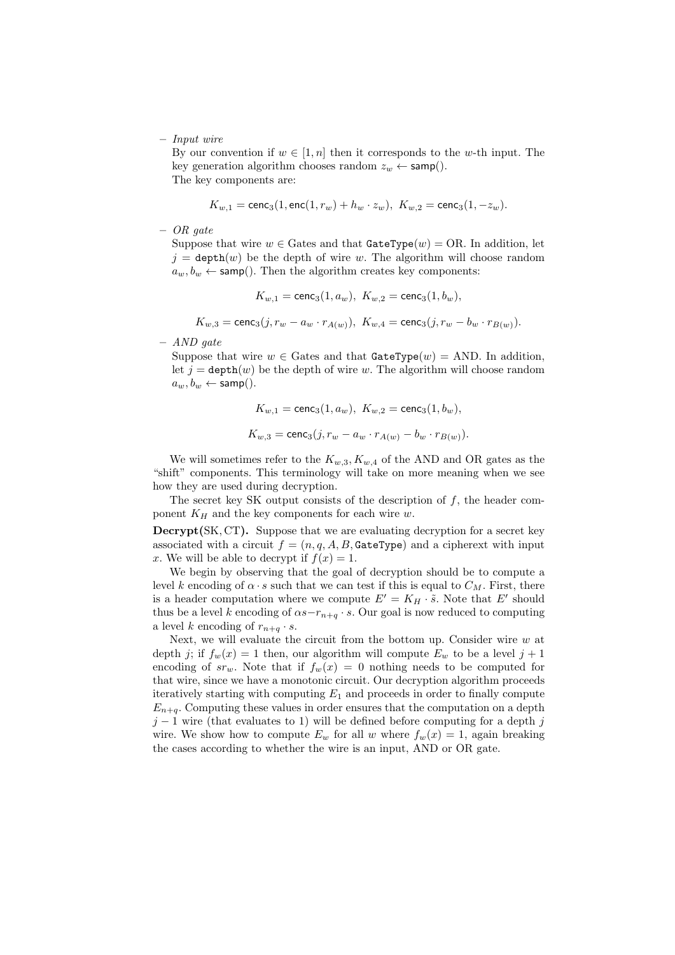– Input wire

By our convention if  $w \in [1, n]$  then it corresponds to the w-th input. The key generation algorithm chooses random  $z_w \leftarrow \text{ samp}()$ . The key components are:

$$
K_{w,1} = \text{cenc}_3(1, \text{enc}(1, r_w) + h_w \cdot z_w), \ K_{w,2} = \text{cenc}_3(1, -z_w).
$$

– OR gate

Suppose that wire  $w \in$  Gates and that  $\texttt{GateType}(w) = \text{OR}$ . In addition, let  $j = \text{depth}(w)$  be the depth of wire w. The algorithm will choose random  $a_w, b_w \leftarrow \textsf{sample}($ ). Then the algorithm creates key components:

 $K_{w,1} = \text{cenc}_3(1, a_w), K_{w,2} = \text{cenc}_3(1, b_w),$ 

 $K_{w,3} = \text{cenc}_3(j, r_w - a_w \cdot r_{A(w)})$ ,  $K_{w,4} = \text{cenc}_3(j, r_w - b_w \cdot r_{B(w)})$ .

– AND gate

Suppose that wire  $w \in$  Gates and that  $\mathtt{GateType}(w) = \text{AND}$ . In addition, let  $j = \text{depth}(w)$  be the depth of wire w. The algorithm will choose random  $a_w, b_w \leftarrow \textsf{sample}()$ .

$$
K_{w,1} = \text{cenc}_3(1, a_w), \ K_{w,2} = \text{cenc}_3(1, b_w),
$$
  

$$
K_{w,3} = \text{cenc}_3(j, r_w - a_w \cdot r_{A(w)} - b_w \cdot r_{B(w)}).
$$

We will sometimes refer to the  $K_{w,3}, K_{w,4}$  of the AND and OR gates as the "shift" components. This terminology will take on more meaning when we see how they are used during decryption.

The secret key SK output consists of the description of  $f$ , the header component  $K_H$  and the key components for each wire w.

Decrypt(SK, CT). Suppose that we are evaluating decryption for a secret key associated with a circuit  $f = (n, q, A, B,$  GateType) and a cipherext with input x. We will be able to decrypt if  $f(x) = 1$ .

We begin by observing that the goal of decryption should be to compute a level k encoding of  $\alpha \cdot s$  such that we can test if this is equal to  $C_M$ . First, there is a header computation where we compute  $E' = K_H \cdot \tilde{s}$ . Note that E' should thus be a level k encoding of  $\alpha s-r_{n+q} \cdot s$ . Our goal is now reduced to computing a level k encoding of  $r_{n+q} \cdot s$ .

Next, we will evaluate the circuit from the bottom up. Consider wire  $w$  at depth j; if  $f_w(x) = 1$  then, our algorithm will compute  $E_w$  to be a level  $j + 1$ encoding of  $sr_w$ . Note that if  $f_w(x) = 0$  nothing needs to be computed for that wire, since we have a monotonic circuit. Our decryption algorithm proceeds iteratively starting with computing  $E_1$  and proceeds in order to finally compute  $E_{n+q}$ . Computing these values in order ensures that the computation on a depth  $j-1$  wire (that evaluates to 1) will be defined before computing for a depth j wire. We show how to compute  $E_w$  for all w where  $f_w(x) = 1$ , again breaking the cases according to whether the wire is an input, AND or OR gate.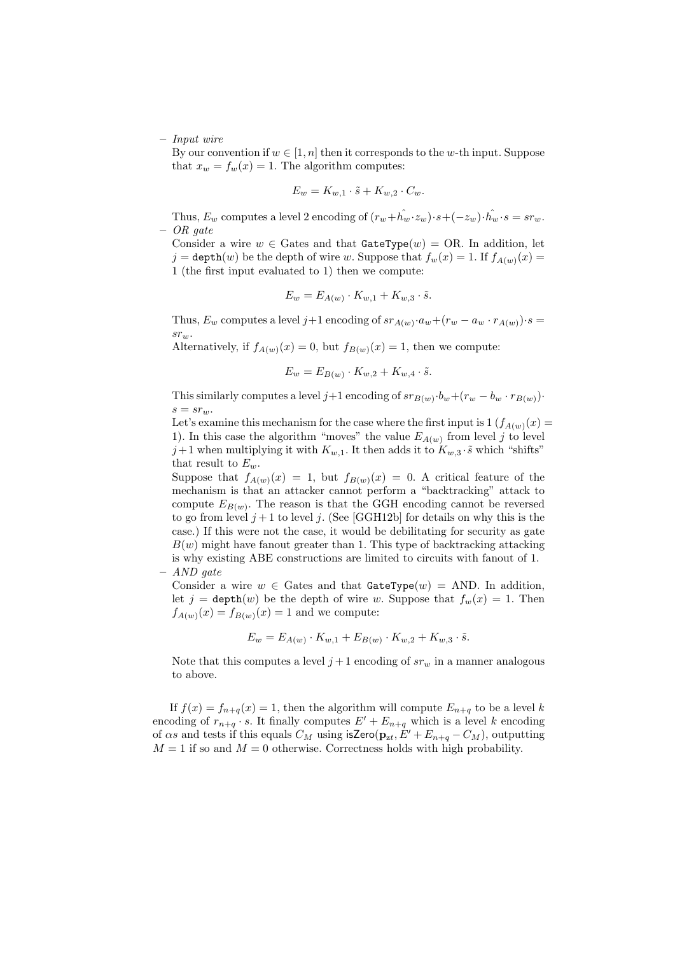#### – Input wire

By our convention if  $w \in [1, n]$  then it corresponds to the w-th input. Suppose that  $x_w = f_w(x) = 1$ . The algorithm computes:

$$
E_w = K_{w,1} \cdot \tilde{s} + K_{w,2} \cdot C_w.
$$

Thus,  $E_w$  computes a level 2 encoding of  $(r_w + \hat{h_w} \cdot z_w) \cdot s + (-z_w) \cdot \hat{h_w} \cdot s = sr_w$ . – OR gate

Consider a wire  $w \in$  Gates and that  $\texttt{GateType}(w) = \text{OR}$ . In addition, let  $j =$  depth $(w)$  be the depth of wire w. Suppose that  $f_w(x) = 1$ . If  $f_{A(w)}(x) =$ 1 (the first input evaluated to 1) then we compute:

$$
E_w = E_{A(w)} \cdot K_{w,1} + K_{w,3} \cdot \tilde{s}.
$$

Thus,  $E_w$  computes a level j+1 encoding of  $sr_{A(w)} \cdot a_w + (r_w - a_w \cdot r_{A(w)}) \cdot s =$  $sr_w$ .

Alternatively, if  $f_{A(w)}(x) = 0$ , but  $f_{B(w)}(x) = 1$ , then we compute:

$$
E_w = E_{B(w)} \cdot K_{w,2} + K_{w,4} \cdot \tilde{s}.
$$

This similarly computes a level j+1 encoding of  $sr_{B(w)} \cdot b_w + (r_w - b_w \cdot r_{B(w)}) \cdot$  $s = sr_w$ .

Let's examine this mechanism for the case where the first input is  $1 (f_{A(w)}(x))$ 1). In this case the algorithm "moves" the value  $E_{A(w)}$  from level j to level j + 1 when multiplying it with  $K_{w,1}$ . It then adds it to  $K_{w,3} \cdot \tilde{s}$  which "shifts" that result to  $E_w$ .

Suppose that  $f_{A(w)}(x) = 1$ , but  $f_{B(w)}(x) = 0$ . A critical feature of the mechanism is that an attacker cannot perform a "backtracking" attack to compute  $E_{B(w)}$ . The reason is that the GGH encoding cannot be reversed to go from level  $j+1$  to level j. (See [GGH12b] for details on why this is the case.) If this were not the case, it would be debilitating for security as gate  $B(w)$  might have fanout greater than 1. This type of backtracking attacking is why existing ABE constructions are limited to circuits with fanout of 1. – AND gate

Consider a wire  $w \in$  Gates and that  $\texttt{GateType}(w) = \text{AND}$ . In addition, let  $j = \text{depth}(w)$  be the depth of wire w. Suppose that  $f_w(x) = 1$ . Then  $f_{A(w)}(x) = f_{B(w)}(x) = 1$  and we compute:

$$
E_w = E_{A(w)} \cdot K_{w,1} + E_{B(w)} \cdot K_{w,2} + K_{w,3} \cdot \tilde{s}.
$$

Note that this computes a level  $j+1$  encoding of  $sr_w$  in a manner analogous to above.

If  $f(x) = f_{n+q}(x) = 1$ , then the algorithm will compute  $E_{n+q}$  to be a level k encoding of  $r_{n+q} \cdot s$ . It finally computes  $E' + E_{n+q}$  which is a level k encoding of  $\alpha s$  and tests if this equals  $C_M$  using isZero( $\mathbf{p}_{zt}$ ,  $E' + E_{n+q} - C_M$ ), outputting  $M = 1$  if so and  $M = 0$  otherwise. Correctness holds with high probability.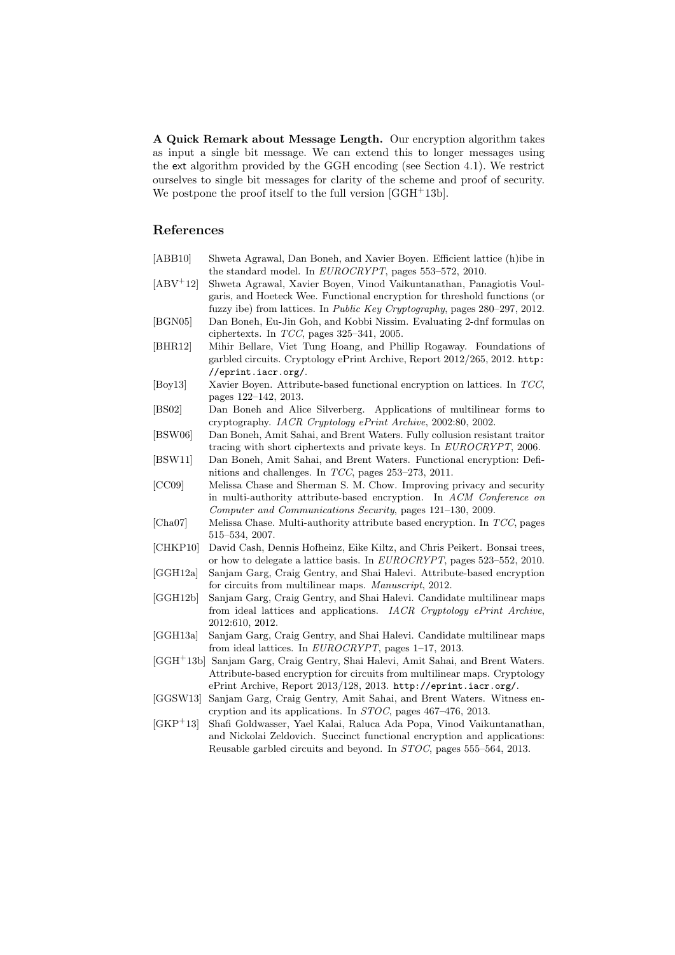A Quick Remark about Message Length. Our encryption algorithm takes as input a single bit message. We can extend this to longer messages using the ext algorithm provided by the GGH encoding (see Section 4.1). We restrict ourselves to single bit messages for clarity of the scheme and proof of security. We postpone the proof itself to the full version [GGH+13b].

# References

- [ABB10] Shweta Agrawal, Dan Boneh, and Xavier Boyen. Efficient lattice (h)ibe in the standard model. In EUROCRYPT, pages 553–572, 2010.
- [ABV<sup>+</sup>12] Shweta Agrawal, Xavier Boyen, Vinod Vaikuntanathan, Panagiotis Voulgaris, and Hoeteck Wee. Functional encryption for threshold functions (or fuzzy ibe) from lattices. In Public Key Cryptography, pages 280–297, 2012.
- [BGN05] Dan Boneh, Eu-Jin Goh, and Kobbi Nissim. Evaluating 2-dnf formulas on ciphertexts. In TCC, pages 325–341, 2005.
- [BHR12] Mihir Bellare, Viet Tung Hoang, and Phillip Rogaway. Foundations of garbled circuits. Cryptology ePrint Archive, Report 2012/265, 2012. http: //eprint.iacr.org/.
- [Boy13] Xavier Boyen. Attribute-based functional encryption on lattices. In TCC, pages 122–142, 2013.
- [BS02] Dan Boneh and Alice Silverberg. Applications of multilinear forms to cryptography. IACR Cryptology ePrint Archive, 2002:80, 2002.
- [BSW06] Dan Boneh, Amit Sahai, and Brent Waters. Fully collusion resistant traitor tracing with short ciphertexts and private keys. In EUROCRYPT, 2006.
- [BSW11] Dan Boneh, Amit Sahai, and Brent Waters. Functional encryption: Definitions and challenges. In TCC, pages 253–273, 2011.
- [CC09] Melissa Chase and Sherman S. M. Chow. Improving privacy and security in multi-authority attribute-based encryption. In ACM Conference on Computer and Communications Security, pages 121–130, 2009.
- [Cha07] Melissa Chase. Multi-authority attribute based encryption. In TCC, pages 515–534, 2007.
- [CHKP10] David Cash, Dennis Hofheinz, Eike Kiltz, and Chris Peikert. Bonsai trees, or how to delegate a lattice basis. In EUROCRYPT, pages 523–552, 2010.
- [GGH12a] Sanjam Garg, Craig Gentry, and Shai Halevi. Attribute-based encryption for circuits from multilinear maps. Manuscript, 2012.
- [GGH12b] Sanjam Garg, Craig Gentry, and Shai Halevi. Candidate multilinear maps from ideal lattices and applications. *IACR Cryptology ePrint Archive*, 2012:610, 2012.
- [GGH13a] Sanjam Garg, Craig Gentry, and Shai Halevi. Candidate multilinear maps from ideal lattices. In EUROCRYPT, pages 1–17, 2013.
- [GGH<sup>+</sup>13b] Sanjam Garg, Craig Gentry, Shai Halevi, Amit Sahai, and Brent Waters. Attribute-based encryption for circuits from multilinear maps. Cryptology ePrint Archive, Report 2013/128, 2013. http://eprint.iacr.org/.
- [GGSW13] Sanjam Garg, Craig Gentry, Amit Sahai, and Brent Waters. Witness encryption and its applications. In STOC, pages 467–476, 2013.
- [GKP<sup>+</sup>13] Shafi Goldwasser, Yael Kalai, Raluca Ada Popa, Vinod Vaikuntanathan, and Nickolai Zeldovich. Succinct functional encryption and applications: Reusable garbled circuits and beyond. In STOC, pages 555–564, 2013.